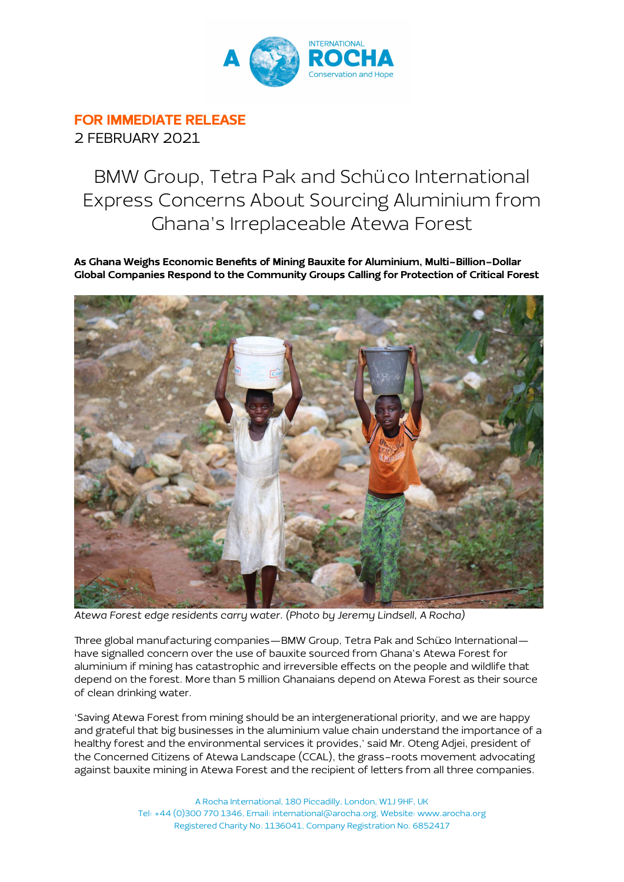

## FOR IMMEDIATE RELEASE

2 FEBRUARY 2021

## BMW Group, Tetra Pak and Schü co International Express Concerns About Sourcing Aluminium from Ghana's Irreplaceable Atewa Forest

As Ghana Weighs Economic Benefits of Mining Bauxite for Aluminium, Multi-Billion-Dollar Global Companies Respond to the Community Groups Calling for Protection of Critical Forest



Atewa Forest edge residents carry water. (Photo by Jeremy Lindsell, A Rocha)

Three global manufacturing companies—BMW Group, Tetra Pak and Schüco International have signalled concern over the use of bauxite sourced from Ghana's Atewa Forest for aluminium if mining has catastrophic and irreversible effects on the people and wildlife that depend on the forest. More than 5 million Ghanaians depend on Atewa Forest as their source of clean drinking water.

'Saving Atewa Forest from mining should be an intergenerational priority, and we are happy and grateful that big businesses in the aluminium value chain understand the importance of a healthy forest and the environmental services it provides,' said Mr. Oteng Adjei, president of the Concerned Citizens of Atewa Landscape (CCAL), the grass-roots movement advocating against bauxite mining in Atewa Forest and the recipient of letters from all three companies.

> A Rocha International, 180 Piccadilly, London, W1J 9HF, UK Tel: +44 (0)300 770 1346, Email: international@arocha.org, Website: www.arocha.org Registered Charity No. 1136041, Company Registration No. 6852417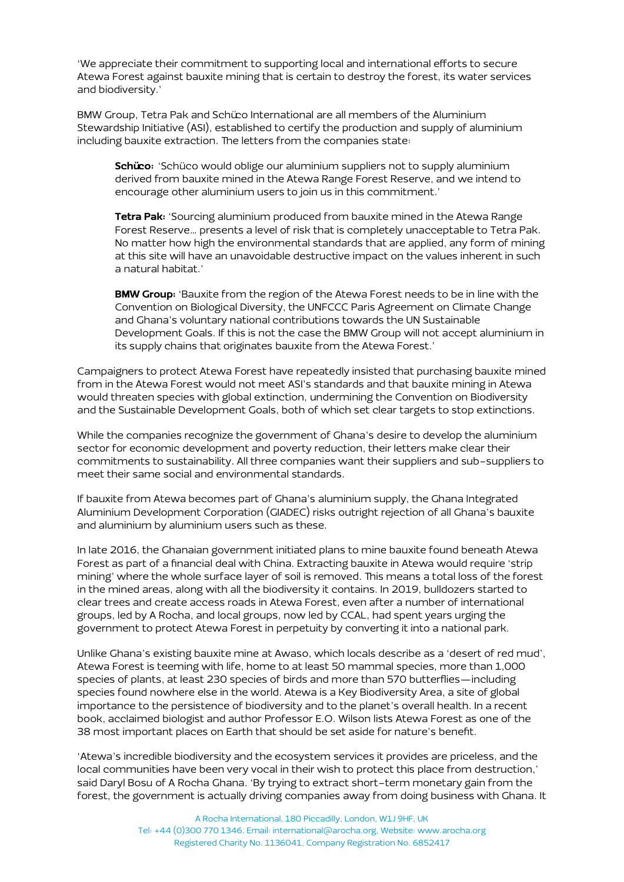'We appreciate their commitment to supporting local and international efforts to secure Atewa Forest against bauxite mining that is certain to destroy the forest, its water services and biodiversity.'

BMW Group, Tetra Pak and Schüco International are all members of the Aluminium Stewardship Initiative (ASI), established to certify the production and supply of aluminium including bauxite extraction. The letters from the companies state:

Schüco: 'Schüco would oblige our aluminium suppliers not to supply aluminium derived from bauxite mined in the Atewa Range Forest Reserve, and we intend to encourage other aluminium users to join us in this commitment.'

Tetra Pak: 'Sourcing aluminium produced from bauxite mined in the Atewa Range Forest Reserve… presents a level of risk that is completely unacceptable to Tetra Pak. No matter how high the environmental standards that are applied, any form of mining at this site will have an unavoidable destructive impact on the values inherent in such a natural habitat.'

**BMW Group:** 'Bauxite from the region of the Atewa Forest needs to be in line with the Convention on Biological Diversity, the UNFCCC Paris Agreement on Climate Change and Ghana's voluntary national contributions towards the UN Sustainable Development Goals. If this is not the case the BMW Group will not accept aluminium in its supply chains that originates bauxite from the Atewa Forest.'

Campaigners to protect Atewa Forest have repeatedly insisted that purchasing bauxite mined from in the Atewa Forest would not meet ASI's standards and that bauxite mining in Atewa would threaten species with global extinction, undermining the Convention on Biodiversity and the Sustainable Development Goals, both of which set clear targets to stop extinctions.

While the companies recognize the government of Ghana's desire to develop the aluminium sector for economic development and poverty reduction, their letters make clear their commitments to sustainability. All three companies want their suppliers and sub-suppliers to meet their same social and environmental standards.

If bauxite from Atewa becomes part of Ghana's aluminium supply, the Ghana Integrated Aluminium Development Corporation (GIADEC) risks outright rejection of all Ghana's bauxite and aluminium by aluminium users such as these.

In late 2016, the Ghanaian government initiated plans to mine bauxite found beneath Atewa Forest as part of a financial deal with China. Extracting bauxite in Atewa would require 'strip mining' where the whole surface layer of soil is removed. This means a total loss of the forest in the mined areas, along with all the biodiversity it contains. In 2019, bulldozers started to clear trees and create access roads in Atewa Forest, even after a number of international groups, led by A Rocha, and local groups, now led by CCAL, had spent years urging the government to protect Atewa Forest in perpetuity by converting it into a national park.

Unlike Ghana's existing bauxite mine at Awaso, which locals describe as a 'desert of red mud', Atewa Forest is teeming with life, home to at least 50 mammal species, more than 1,000 species of plants, at least 230 species of birds and more than 570 butterflies—including species found nowhere else in the world. Atewa is a Key Biodiversity Area, a site of global importance to the persistence of biodiversity and to the planet's overall health. In a recent book, acclaimed biologist and author Professor E.O. Wilson lists Atewa Forest as one of the 38 most important places on Earth that should be set aside for nature's benefit.

'Atewa's incredible biodiversity and the ecosystem services it provides are priceless, and the local communities have been very vocal in their wish to protect this place from destruction,' said Daryl Bosu of A Rocha Ghana. 'By trying to extract short-term monetary gain from the forest, the government is actually driving companies away from doing business with Ghana. It